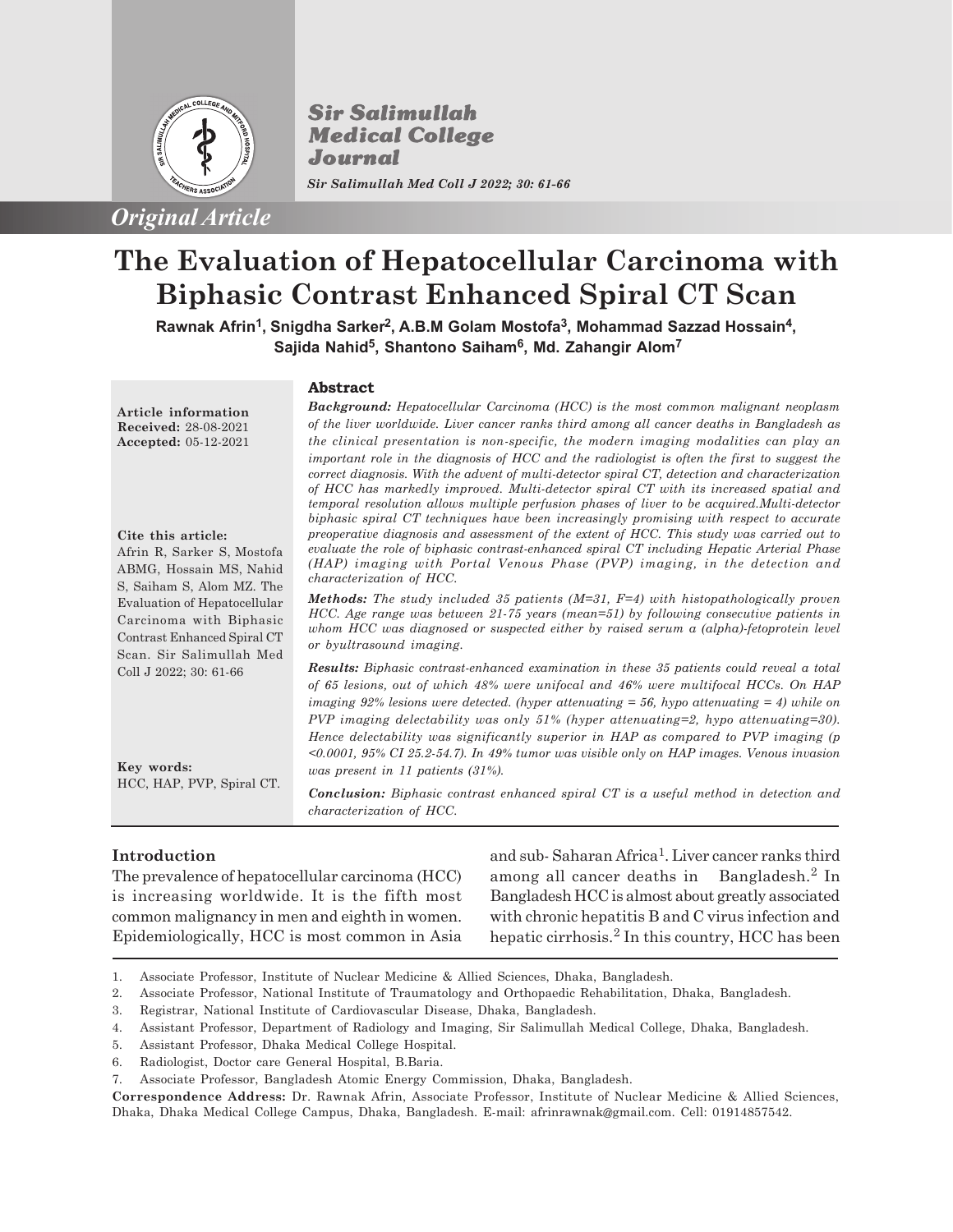

**Sir Salimullah Medical College** Journal *Sir Salimullah Med Coll J 2022; 30: 61-66*

*Original Article*

# **The Evaluation of Hepatocellular Carcinoma with Biphasic Contrast Enhanced Spiral CT Scan**

**Rawnak Afrin<sup>1</sup> , Snigdha Sarker<sup>2</sup> , A.B.M Golam Mostofa<sup>3</sup> , Mohammad Sazzad Hossain<sup>4</sup> , Sajida Nahid<sup>5</sup> , Shantono Saiham<sup>6</sup> , Md. Zahangir Alom<sup>7</sup>**

#### **Abstract**

*Background: Hepatocellular Carcinoma (HCC) is the most common malignant neoplasm of the liver worldwide. Liver cancer ranks third among all cancer deaths in Bangladesh as the clinical presentation is non-specific, the modern imaging modalities can play an important role in the diagnosis of HCC and the radiologist is often the first to suggest the correct diagnosis. With the advent of multi-detector spiral CT, detection and characterization of HCC has markedly improved. Multi-detector spiral CT with its increased spatial and temporal resolution allows multiple perfusion phases of liver to be acquired.Multi-detector biphasic spiral CT techniques have been increasingly promising with respect to accurate preoperative diagnosis and assessment of the extent of HCC. This study was carried out to evaluate the role of biphasic contrast-enhanced spiral CT including Hepatic Arterial Phase (HAP) imaging with Portal Venous Phase (PVP) imaging, in the detection and characterization of HCC.*

*Methods: The study included 35 patients (M=31, F=4) with histopathologically proven HCC. Age range was between 21-75 years (mean=51) by following consecutive patients in whom HCC was diagnosed or suspected either by raised serum a (alpha)-fetoprotein level or byultrasound imaging.*

*Results: Biphasic contrast-enhanced examination in these 35 patients could reveal a total of 65 lesions, out of which 48% were unifocal and 46% were multifocal HCCs. On HAP imaging 92% lesions were detected. (hyper attenuating = 56, hypo attenuating = 4) while on PVP imaging delectability was only 51% (hyper attenuating=2, hypo attenuating=30). Hence delectability was significantly superior in HAP as compared to PVP imaging (p <0.0001, 95% CI 25.2-54.7). In 49% tumor was visible only on HAP images. Venous invasion was present in 11 patients (31%).*

*Conclusion: Biphasic contrast enhanced spiral CT is a useful method in detection and characterization of HCC.*

# **Introduction**

The prevalence of hepatocellular carcinoma (HCC) is increasing worldwide. It is the fifth most common malignancy in men and eighth in women. Epidemiologically, HCC is most common in Asia

and sub-Saharan Africa<sup>1</sup>. Liver cancer ranks third among all cancer deaths in Bangladesh.<sup>2</sup> In Bangladesh HCC is almost about greatly associated with chronic hepatitis B and C virus infection and hepatic cirrhosis.<sup>2</sup> In this country, HCC has been

- 1. Associate Professor, Institute of Nuclear Medicine & Allied Sciences, Dhaka, Bangladesh.
- 2. Associate Professor, National Institute of Traumatology and Orthopaedic Rehabilitation, Dhaka, Bangladesh.
- 3. Registrar, National Institute of Cardiovascular Disease, Dhaka, Bangladesh.
- 4. Assistant Professor, Department of Radiology and Imaging, Sir Salimullah Medical College, Dhaka, Bangladesh.
- 5. Assistant Professor, Dhaka Medical College Hospital.
- 6. Radiologist, Doctor care General Hospital, B.Baria.
- 7. Associate Professor, Bangladesh Atomic Energy Commission, Dhaka, Bangladesh.

**Correspondence Address:** Dr. Rawnak Afrin, Associate Professor, Institute of Nuclear Medicine & Allied Sciences, Dhaka, Dhaka Medical College Campus, Dhaka, Bangladesh. E-mail: afrinrawnak@gmail.com. Cell: 01914857542.

**Article information Received:** 28-08-2021 **Accepted:** 05-12-2021

**Cite this article:**

Afrin R, Sarker S, Mostofa ABMG, Hossain MS, Nahid S, Saiham S, Alom MZ. The Evaluation of Hepatocellular Carcinoma with Biphasic Contrast Enhanced Spiral CT Scan. Sir Salimullah Med Coll J 2022; 30: 61-66

**Key words:** HCC, HAP, PVP, Spiral CT.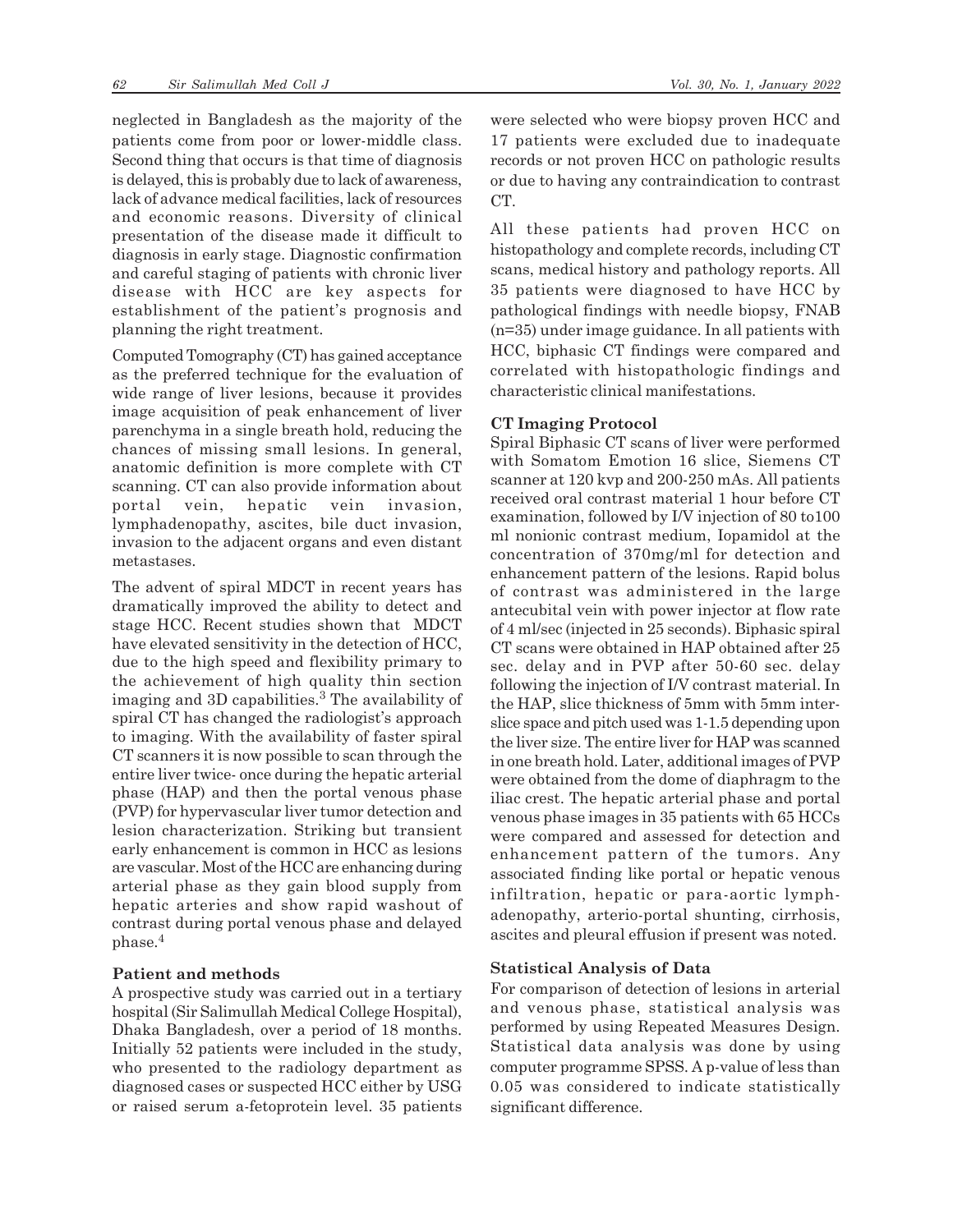neglected in Bangladesh as the majority of the patients come from poor or lower-middle class. Second thing that occurs is that time of diagnosis is delayed, this is probably due to lack of awareness, lack of advance medical facilities, lack of resources and economic reasons. Diversity of clinical presentation of the disease made it difficult to diagnosis in early stage. Diagnostic confirmation and careful staging of patients with chronic liver disease with HCC are key aspects for establishment of the patient's prognosis and planning the right treatment.

Computed Tomography (CT) has gained acceptance as the preferred technique for the evaluation of wide range of liver lesions, because it provides image acquisition of peak enhancement of liver parenchyma in a single breath hold, reducing the chances of missing small lesions. In general, anatomic definition is more complete with CT scanning. CT can also provide information about portal vein, hepatic vein invasion, lymphadenopathy, ascites, bile duct invasion, invasion to the adjacent organs and even distant metastases.

The advent of spiral MDCT in recent years has dramatically improved the ability to detect and stage HCC. Recent studies shown that MDCT have elevated sensitivity in the detection of HCC, due to the high speed and flexibility primary to the achievement of high quality thin section imaging and 3D capabilities.<sup>3</sup> The availability of spiral CT has changed the radiologist's approach to imaging. With the availability of faster spiral CT scanners it is now possible to scan through the entire liver twice- once during the hepatic arterial phase (HAP) and then the portal venous phase (PVP) for hypervascular liver tumor detection and lesion characterization. Striking but transient early enhancement is common in HCC as lesions are vascular. Most of the HCC are enhancing during arterial phase as they gain blood supply from hepatic arteries and show rapid washout of contrast during portal venous phase and delayed phase.<sup>4</sup>

#### **Patient and methods**

A prospective study was carried out in a tertiary hospital (Sir Salimullah Medical College Hospital), Dhaka Bangladesh, over a period of 18 months. Initially 52 patients were included in the study, who presented to the radiology department as diagnosed cases or suspected HCC either by USG or raised serum a-fetoprotein level. 35 patients were selected who were biopsy proven HCC and 17 patients were excluded due to inadequate records or not proven HCC on pathologic results or due to having any contraindication to contrast CT.

All these patients had proven HCC on histopathology and complete records, including CT scans, medical history and pathology reports. All 35 patients were diagnosed to have HCC by pathological findings with needle biopsy, FNAB (n=35) under image guidance. In all patients with HCC, biphasic CT findings were compared and correlated with histopathologic findings and characteristic clinical manifestations.

#### **CT Imaging Protocol**

Spiral Biphasic CT scans of liver were performed with Somatom Emotion 16 slice, Siemens CT scanner at 120 kvp and 200-250 mAs. All patients received oral contrast material 1 hour before CT examination, followed by I/V injection of 80 to100 ml nonionic contrast medium, Iopamidol at the concentration of 370mg/ml for detection and enhancement pattern of the lesions. Rapid bolus of contrast was administered in the large antecubital vein with power injector at flow rate of 4 ml/sec (injected in 25 seconds). Biphasic spiral CT scans were obtained in HAP obtained after 25 sec. delay and in PVP after 50-60 sec. delay following the injection of I/V contrast material. In the HAP, slice thickness of 5mm with 5mm interslice space and pitch used was 1-1.5 depending upon the liver size. The entire liver for HAP was scanned in one breath hold. Later, additional images of PVP were obtained from the dome of diaphragm to the iliac crest. The hepatic arterial phase and portal venous phase images in 35 patients with 65 HCCs were compared and assessed for detection and enhancement pattern of the tumors. Any associated finding like portal or hepatic venous infiltration, hepatic or para-aortic lymphadenopathy, arterio-portal shunting, cirrhosis, ascites and pleural effusion if present was noted.

#### **Statistical Analysis of Data**

For comparison of detection of lesions in arterial and venous phase, statistical analysis was performed by using Repeated Measures Design. Statistical data analysis was done by using computer programme SPSS. A p-value of less than 0.05 was considered to indicate statistically significant difference.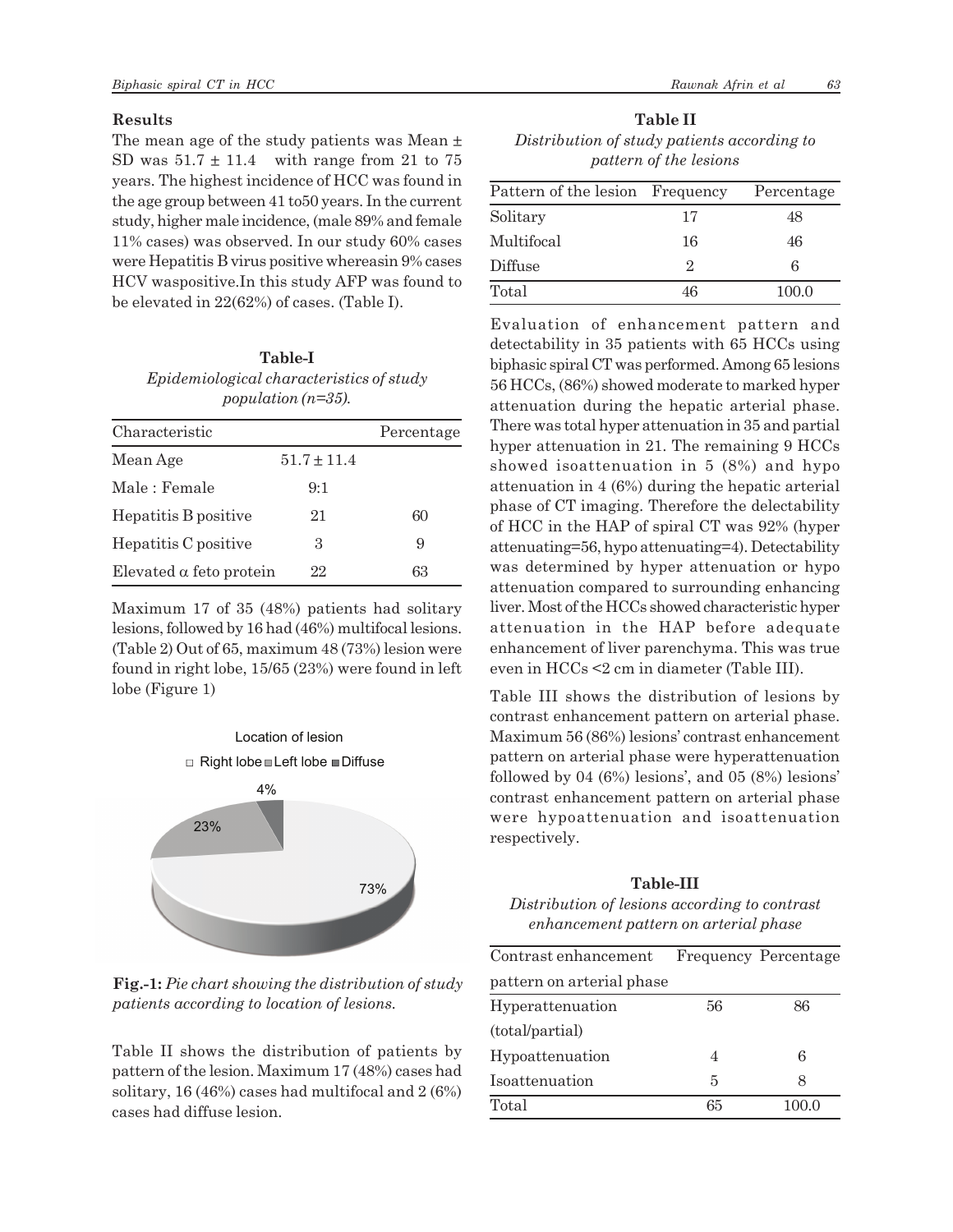## **Results**

The mean age of the study patients was Mean  $\pm$ SD was  $51.7 \pm 11.4$  with range from 21 to 75 years. The highest incidence of HCC was found in the age group between 41 to50 years. In the current study, higher male incidence, (male 89% and female 11% cases) was observed. In our study 60% cases were Hepatitis B virus positive whereasin 9% cases HCV waspositive.In this study AFP was found to be elevated in 22(62%) of cases. (Table I).

| Table-I                                         |
|-------------------------------------------------|
| <i>Epidemiological characteristics of study</i> |
| population $(n=35)$ .                           |

| Characteristic                 |                 | Percentage |
|--------------------------------|-----------------|------------|
| Mean Age                       | $51.7 \pm 11.4$ |            |
| Male : Female                  | 9:1             |            |
| Hepatitis B positive           | 21              | 60         |
| Hepatitis C positive           | 3               | 9          |
| Elevated $\alpha$ feto protein | 22              | 63         |

Maximum 17 of 35 (48%) patients had solitary lesions, followed by 16 had (46%) multifocal lesions. (Table 2) Out of 65, maximum 48 (73%) lesion were found in right lobe, 15/65 (23%) were found in left lobe (Figure 1)



**Fig.-1:** *Pie chart showing the distribution of study patients according to location of lesions.*

Table II shows the distribution of patients by pattern of the lesion. Maximum 17 (48%) cases had solitary, 16 (46%) cases had multifocal and 2 (6%) cases had diffuse lesion.

**Table II** *Distribution of study patients according to pattern of the lesions*

| Pattern of the lesion Frequency |    | Percentage |
|---------------------------------|----|------------|
| Solitary                        | 17 | 48         |
| Multifocal                      | 16 | 46         |
| Diffuse                         | 2  | 6          |
| Total                           | 46 | 100.0      |

Evaluation of enhancement pattern and detectability in 35 patients with 65 HCCs using biphasic spiral CT was performed. Among 65 lesions 56 HCCs, (86%) showed moderate to marked hyper attenuation during the hepatic arterial phase. There was total hyper attenuation in 35 and partial hyper attenuation in 21. The remaining 9 HCCs showed isoattenuation in 5 (8%) and hypo attenuation in 4 (6%) during the hepatic arterial phase of CT imaging. Therefore the delectability of HCC in the HAP of spiral CT was 92% (hyper attenuating=56, hypo attenuating=4). Detectability was determined by hyper attenuation or hypo attenuation compared to surrounding enhancing liver. Most of the HCCs showed characteristic hyper attenuation in the HAP before adequate enhancement of liver parenchyma. This was true even in HCCs <2 cm in diameter (Table III).

Table III shows the distribution of lesions by contrast enhancement pattern on arterial phase. Maximum 56 (86%) lesions' contrast enhancement pattern on arterial phase were hyperattenuation followed by 04 (6%) lesions', and 05 (8%) lesions' contrast enhancement pattern on arterial phase were hypoattenuation and isoattenuation respectively.

## **Table-III**

*Distribution of lesions according to contrast enhancement pattern on arterial phase*

| Contrast enhancement      |    | Frequency Percentage |
|---------------------------|----|----------------------|
| pattern on arterial phase |    |                      |
| Hyperattenuation          | 56 | 86                   |
| (total/partial)           |    |                      |
| Hypoattenuation           | 4  | 6                    |
| Isoattenuation            | 5  | 8                    |
| Total                     | 65 | 100.0                |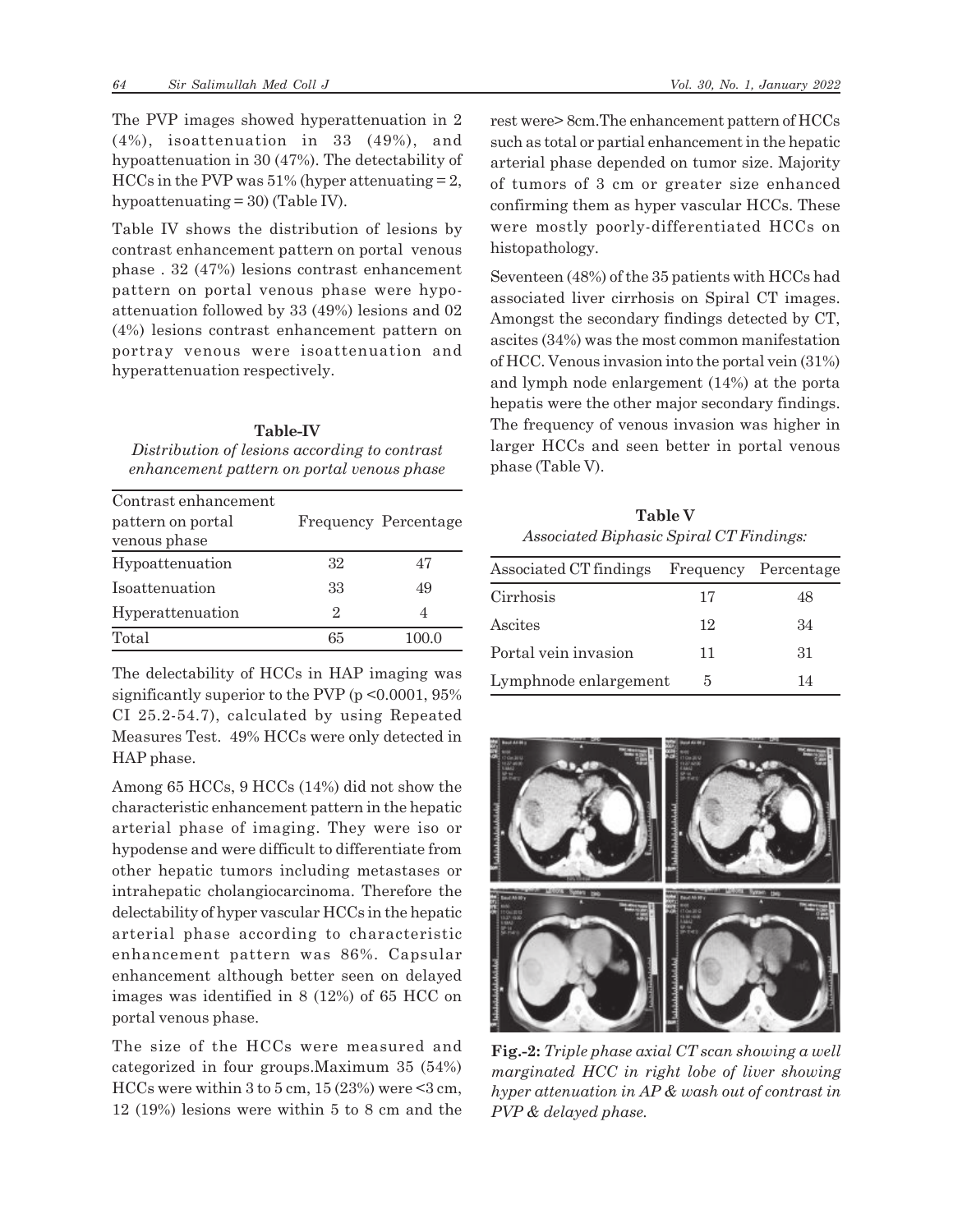The PVP images showed hyperattenuation in 2 (4%), isoattenuation in 33 (49%), and hypoattenuation in 30 (47%). The detectability of HCCs in the PVP was  $51\%$  (hyper attenuating  $= 2$ , hypoattenuating = 30) (Table IV).

Table IV shows the distribution of lesions by contrast enhancement pattern on portal venous phase . 32 (47%) lesions contrast enhancement pattern on portal venous phase were hypoattenuation followed by 33 (49%) lesions and 02 (4%) lesions contrast enhancement pattern on portray venous were isoattenuation and hyperattenuation respectively.

# **Table-IV** *Distribution of lesions according to contrast enhancement pattern on portal venous phase*

| Contrast enhancement |    |                      |
|----------------------|----|----------------------|
| pattern on portal    |    | Frequency Percentage |
| venous phase         |    |                      |
| Hypoattenuation      | 32 | 47                   |
| Isoattenuation       | 33 | 49                   |
| Hyperattenuation     | 2  | 4                    |
| Total                | 65 |                      |

The delectability of HCCs in HAP imaging was significantly superior to the PVP ( $p \le 0.0001$ , 95% CI 25.2-54.7), calculated by using Repeated Measures Test. 49% HCCs were only detected in HAP phase.

Among 65 HCCs, 9 HCCs (14%) did not show the characteristic enhancement pattern in the hepatic arterial phase of imaging. They were iso or hypodense and were difficult to differentiate from other hepatic tumors including metastases or intrahepatic cholangiocarcinoma. Therefore the delectability of hyper vascular HCCs in the hepatic arterial phase according to characteristic enhancement pattern was 86%. Capsular enhancement although better seen on delayed images was identified in 8 (12%) of 65 HCC on portal venous phase.

The size of the HCCs were measured and categorized in four groups.Maximum 35 (54%) HCCs were within 3 to 5 cm,  $15(23%)$  were  $\leq$ 3 cm, 12 (19%) lesions were within 5 to 8 cm and the rest were> 8cm.The enhancement pattern of HCCs such as total or partial enhancement in the hepatic arterial phase depended on tumor size. Majority of tumors of 3 cm or greater size enhanced confirming them as hyper vascular HCCs. These were mostly poorly-differentiated HCCs on histopathology.

Seventeen (48%) of the 35 patients with HCCs had associated liver cirrhosis on Spiral CT images. Amongst the secondary findings detected by CT, ascites (34%) was the most common manifestation of HCC. Venous invasion into the portal vein (31%) and lymph node enlargement (14%) at the porta hepatis were the other major secondary findings. The frequency of venous invasion was higher in larger HCCs and seen better in portal venous phase (Table V).

**Table V** *Associated Biphasic Spiral CT Findings:*

| Associated CT findings Frequency Percentage |    |    |
|---------------------------------------------|----|----|
| Cirrhosis                                   | 17 | 48 |
| Ascites                                     | 12 | 34 |
| Portal vein invasion                        | 11 | 31 |
| Lymphnode enlargement                       | 5  | 14 |



**Fig.-2:** *Triple phase axial CT scan showing a well marginated HCC in right lobe of liver showing hyper attenuation in AP & wash out of contrast in PVP & delayed phase.*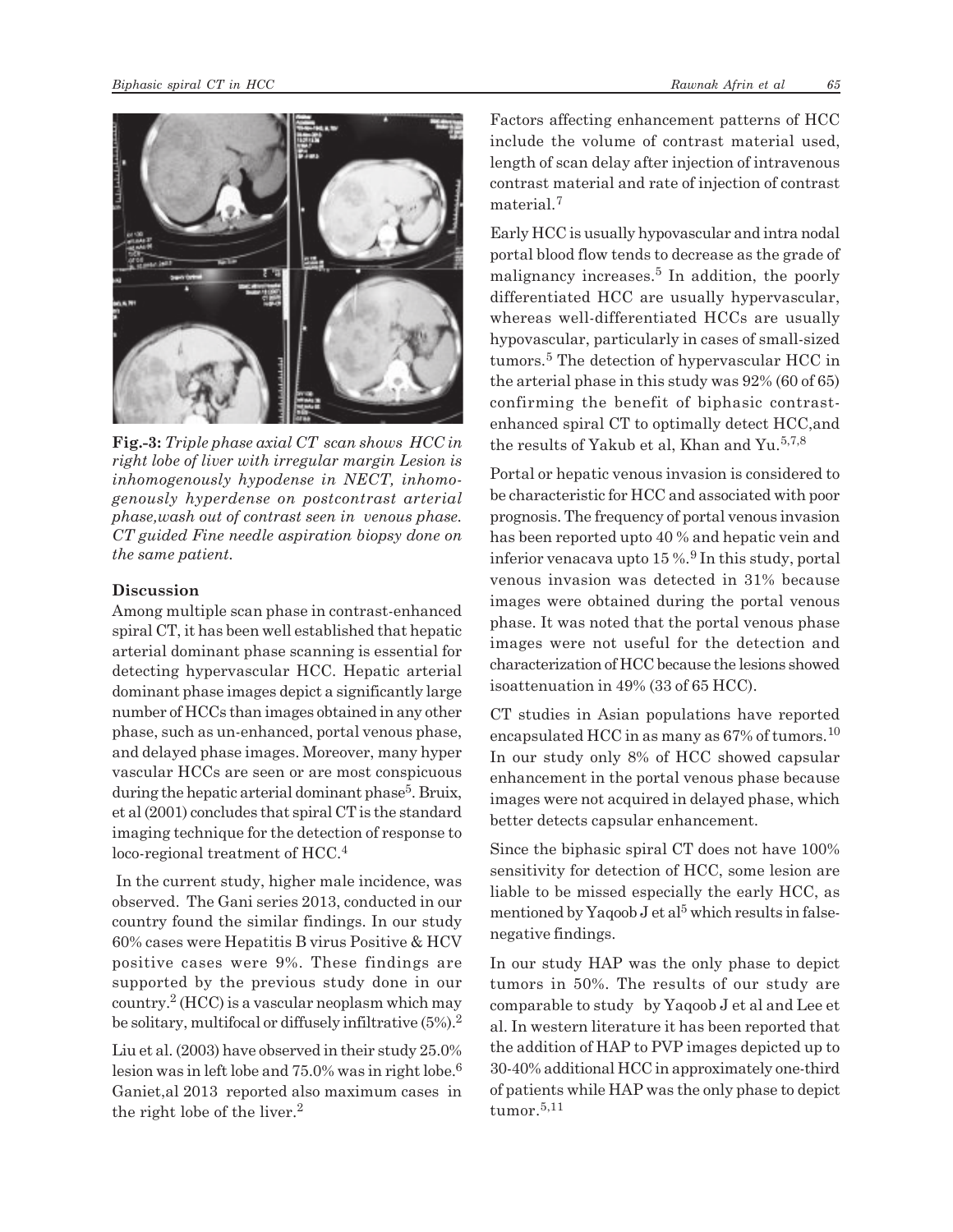

**Fig.-3:** *Triple phase axial CT scan shows HCC in right lobe of liver with irregular margin Lesion is inhomogenously hypodense in NECT, inhomogenously hyperdense on postcontrast arterial phase,wash out of contrast seen in venous phase. CT guided Fine needle aspiration biopsy done on the same patient.*

### **Discussion**

Among multiple scan phase in contrast-enhanced spiral CT, it has been well established that hepatic arterial dominant phase scanning is essential for detecting hypervascular HCC. Hepatic arterial dominant phase images depict a significantly large number of HCCs than images obtained in any other phase, such as un-enhanced, portal venous phase, and delayed phase images. Moreover, many hyper vascular HCCs are seen or are most conspicuous during the hepatic arterial dominant phase<sup>5</sup>. Bruix, et al (2001) concludes that spiral CT is the standard imaging technique for the detection of response to loco-regional treatment of HCC.<sup>4</sup>

 In the current study, higher male incidence, was observed. The Gani series 2013, conducted in our country found the similar findings. In our study 60% cases were Hepatitis B virus Positive & HCV positive cases were 9%. These findings are supported by the previous study done in our country.<sup>2</sup> (HCC) is a vascular neoplasm which may be solitary, multifocal or diffusely infiltrative  $(5\%)$ .<sup>2</sup>

Liu et al. (2003) have observed in their study 25.0% lesion was in left lobe and  $75.0\%$  was in right lobe.<sup>6</sup> Ganiet,al 2013 reported also maximum cases in the right lobe of the liver. $<sup>2</sup>$ </sup>

Factors affecting enhancement patterns of HCC include the volume of contrast material used, length of scan delay after injection of intravenous contrast material and rate of injection of contrast material.<sup>7</sup>

Early HCC is usually hypovascular and intra nodal portal blood flow tends to decrease as the grade of malignancy increases.<sup>5</sup> In addition, the poorly differentiated HCC are usually hypervascular, whereas well-differentiated HCCs are usually hypovascular, particularly in cases of small-sized tumors.<sup>5</sup> The detection of hypervascular HCC in the arterial phase in this study was 92% (60 of 65) confirming the benefit of biphasic contrastenhanced spiral CT to optimally detect HCC,and the results of Yakub et al, Khan and Yu.<sup>5,7,8</sup>

Portal or hepatic venous invasion is considered to be characteristic for HCC and associated with poor prognosis. The frequency of portal venous invasion has been reported upto 40 % and hepatic vein and inferior venacava upto 15 %.<sup>9</sup> In this study, portal venous invasion was detected in 31% because images were obtained during the portal venous phase. It was noted that the portal venous phase images were not useful for the detection and characterization of HCC because the lesions showed isoattenuation in 49% (33 of 65 HCC).

CT studies in Asian populations have reported encapsulated HCC in as many as  $67\%$  of tumors.<sup>10</sup> In our study only 8% of HCC showed capsular enhancement in the portal venous phase because images were not acquired in delayed phase, which better detects capsular enhancement.

Since the biphasic spiral CT does not have 100% sensitivity for detection of HCC, some lesion are liable to be missed especially the early HCC, as mentioned by Yaqoob  $J$  et al<sup>5</sup> which results in falsenegative findings.

In our study HAP was the only phase to depict tumors in 50%. The results of our study are comparable to study by Yaqoob J et al and Lee et al. In western literature it has been reported that the addition of HAP to PVP images depicted up to 30-40% additional HCC in approximately one-third of patients while HAP was the only phase to depict tumor. $5,11$